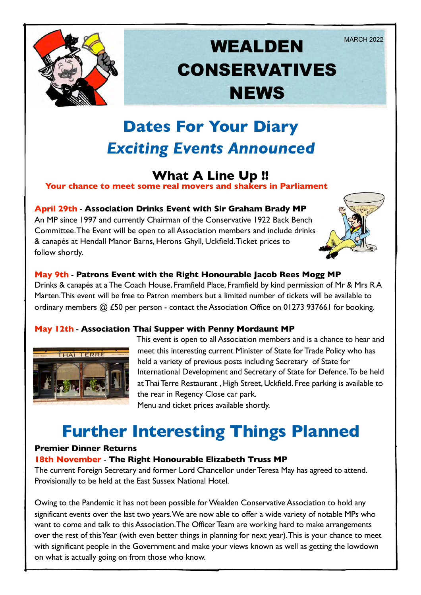

# **WEALDEN** MARCH 2022 CONSERVATIVES **NEWS**

# **Dates For Your Diary** *Exciting Events Announced*

### **What A Line Up !!**

**Your chance to meet some real movers and shakers in Parliament**

#### **April 29th** - **Association Drinks Event with Sir Graham Brady MP**

An MP since 1997 and currently Chairman of the Conservative 1922 Back Bench Committee. The Event will be open to all Association members and include drinks & canapés at Hendall Manor Barns, Herons Ghyll, Uckfield. Ticket prices to follow shortly.



#### **May 9th** - **Patrons Event with the Right Honourable Jacob Rees Mogg MP**

Drinks & canapés at a The Coach House, Framfield Place, Framfield by kind permission of Mr & Mrs R A Marten.This event will be free to Patron members but a limited number of tickets will be available to ordinary members @ £50 per person - contact the Association Office on 01273 937661 for booking.

#### **May 12th** - **Association Thai Supper with Penny Mordaunt MP**



This event is open to all Association members and is a chance to hear and meet this interesting current Minister of State for Trade Policy who has held a variety of previous posts including Secretary of State for International Development and Secretary of State for Defence. To be held at Thai Terre Restaurant , High Street, Uckfield. Free parking is available to the rear in Regency Close car park. Menu and ticket prices available shortly.

## **Further Interesting Things Planned**

#### **Premier Dinner Returns**

#### **18th November** - **The Right Honourable Elizabeth Truss MP**

The current Foreign Secretary and former Lord Chancellor under Teresa May has agreed to attend. Provisionally to be held at the East Sussex National Hotel.

Owing to the Pandemic it has not been possible for Wealden Conservative Association to hold any significant events over the last two years. We are now able to offer a wide variety of notable MPs who want to come and talk to this Association. The Officer Team are working hard to make arrangements over the rest of this Year (with even better things in planning for next year). This is your chance to meet with significant people in the Government and make your views known as well as getting the lowdown on what is actually going on from those who know.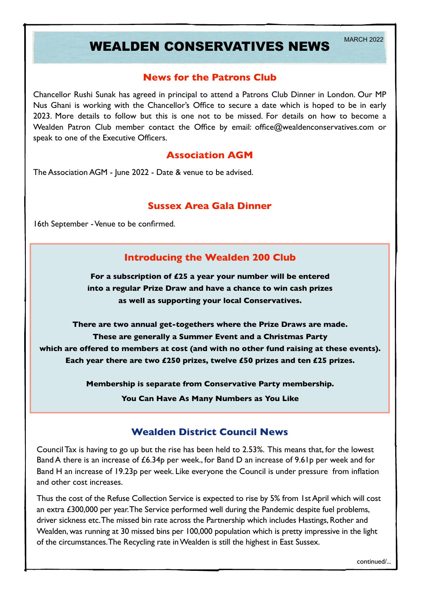## WEALDEN CONSERVATIVES NEWS MARCH 2022

#### **News for the Patrons Club**

Chancellor Rushi Sunak has agreed in principal to attend a Patrons Club Dinner in London. Our MP Nus Ghani is working with the Chancellor's Office to secure a date which is hoped to be in early 2023. More details to follow but this is one not to be missed. For details on how to become a Wealden Patron Club member contact the Office by email: office@wealdenconservatives.com or speak to one of the Executive Officers.

#### **Association AGM**

The Association AGM - June 2022 - Date & venue to be advised.

#### **Sussex Area Gala Dinner**

16th September - Venue to be confirmed.

### **Introducing the Wealden 200 Club**

**For a subscription of £25 a year your number will be entered into a regular Prize Draw and have a chance to win cash prizes as well as supporting your local Conservatives.**

**There are two annual get-togethers where the Prize Draws are made. These are generally a Summer Event and a Christmas Party which are offered to members at cost (and with no other fund raising at these events). Each year there are two £250 prizes, twelve £50 prizes and ten £25 prizes.**

**Membership is separate from Conservative Party membership.**

**You Can Have As Many Numbers as You Like**

#### **Wealden District Council News**

Council Tax is having to go up but the rise has been held to 2.53%. This means that, for the lowest Band A there is an increase of £6.34p per week., for Band D an increase of 9.61p per week and for Band H an increase of 19.23p per week. Like everyone the Council is under pressure from inflation and other cost increases.

Thus the cost of the Refuse Collection Service is expected to rise by 5% from 1st April which will cost an extra £300,000 per year. The Service performed well during the Pandemic despite fuel problems, driver sickness etc. The missed bin rate across the Partnership which includes Hastings, Rother and Wealden, was running at 30 missed bins per 100,000 population which is pretty impressive in the light of the circumstances. The Recycling rate in Wealden is still the highest in East Sussex.

continued/...